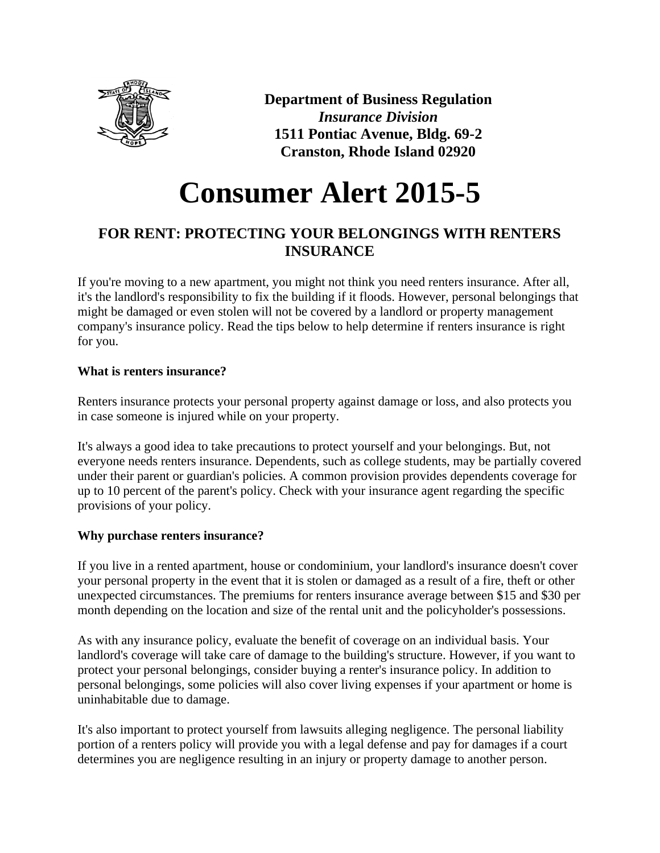

**Department of Business Regulation** *Insurance Division* **1511 Pontiac Avenue, Bldg. 69-2 Cranston, Rhode Island 02920**

# **Consumer Alert 2015-5**

# **FOR RENT: PROTECTING YOUR BELONGINGS WITH RENTERS INSURANCE**

If you're moving to a new apartment, you might not think you need renters insurance. After all, it's the landlord's responsibility to fix the building if it floods. However, personal belongings that might be damaged or even stolen will not be covered by a landlord or property management company's insurance policy. Read the tips below to help determine if renters insurance is right for you.

# **What is renters insurance?**

Renters insurance protects your personal property against damage or loss, and also protects you in case someone is injured while on your property.

It's always a good idea to take precautions to protect yourself and your belongings. But, not everyone needs renters insurance. Dependents, such as college students, may be partially covered under their parent or guardian's policies. A common provision provides dependents coverage for up to 10 percent of the parent's policy. Check with your insurance agent regarding the specific provisions of your policy.

# **Why purchase renters insurance?**

If you live in a rented apartment, house or condominium, your landlord's insurance doesn't cover your personal property in the event that it is stolen or damaged as a result of a fire, theft or other unexpected circumstances. The premiums for renters insurance average between \$15 and \$30 per month depending on the location and size of the rental unit and the policyholder's possessions.

As with any insurance policy, evaluate the benefit of coverage on an individual basis. Your landlord's coverage will take care of damage to the building's structure. However, if you want to protect your personal belongings, consider buying a renter's insurance policy. In addition to personal belongings, some policies will also cover living expenses if your apartment or home is uninhabitable due to damage.

It's also important to protect yourself from lawsuits alleging negligence. The personal liability portion of a renters policy will provide you with a legal defense and pay for damages if a court determines you are negligence resulting in an injury or property damage to another person.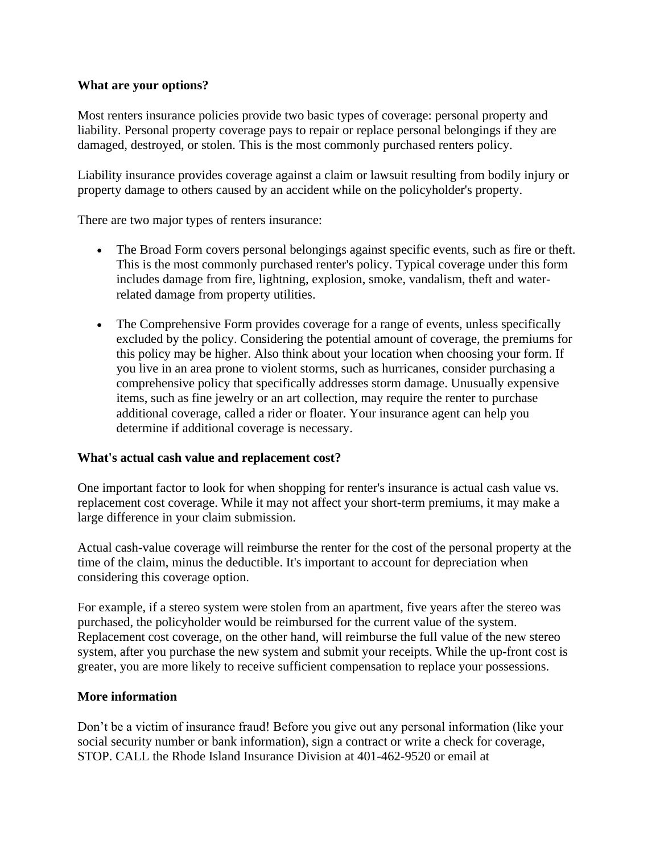#### **What are your options?**

Most renters insurance policies provide two basic types of coverage: personal property and liability. Personal property coverage pays to repair or replace personal belongings if they are damaged, destroyed, or stolen. This is the most commonly purchased renters policy.

Liability insurance provides coverage against a claim or lawsuit resulting from bodily injury or property damage to others caused by an accident while on the policyholder's property.

There are two major types of renters insurance:

- The Broad Form covers personal belongings against specific events, such as fire or theft. This is the most commonly purchased renter's policy. Typical coverage under this form includes damage from fire, lightning, explosion, smoke, vandalism, theft and waterrelated damage from property utilities.
- The Comprehensive Form provides coverage for a range of events, unless specifically excluded by the policy. Considering the potential amount of coverage, the premiums for this policy may be higher. Also think about your location when choosing your form. If you live in an area prone to violent storms, such as hurricanes, consider purchasing a comprehensive policy that specifically addresses storm damage. Unusually expensive items, such as fine jewelry or an art collection, may require the renter to purchase additional coverage, called a rider or floater. Your insurance agent can help you determine if additional coverage is necessary.

#### **What's actual cash value and replacement cost?**

One important factor to look for when shopping for renter's insurance is actual cash value vs. replacement cost coverage. While it may not affect your short-term premiums, it may make a large difference in your claim submission.

Actual cash-value coverage will reimburse the renter for the cost of the personal property at the time of the claim, minus the deductible. It's important to account for depreciation when considering this coverage option.

For example, if a stereo system were stolen from an apartment, five years after the stereo was purchased, the policyholder would be reimbursed for the current value of the system. Replacement cost coverage, on the other hand, will reimburse the full value of the new stereo system, after you purchase the new system and submit your receipts. While the up-front cost is greater, you are more likely to receive sufficient compensation to replace your possessions.

#### **More information**

Don't be a victim of insurance fraud! Before you give out any personal information (like your social security number or bank information), sign a contract or write a check for coverage, STOP. CALL the Rhode Island Insurance Division at 401-462-9520 or email at